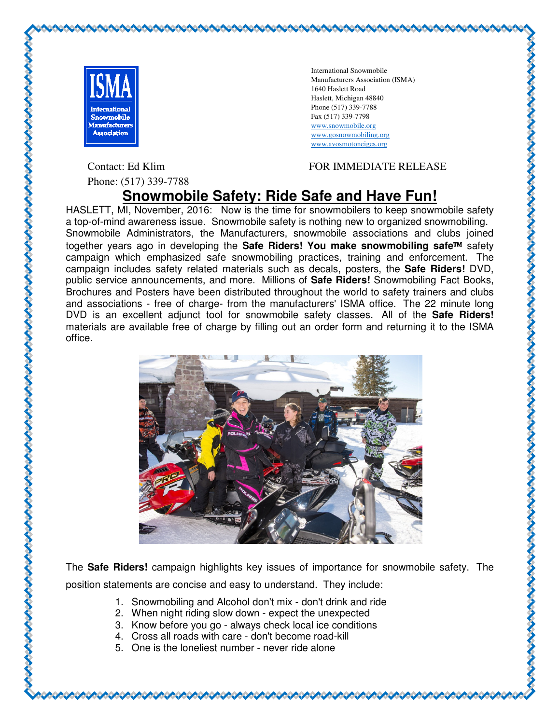

Contact: Ed Klim

Phone: (517) 339-7788

International Snowmobile Manufacturers Association (ISMA) 1640 Haslett Road Haslett, Michigan 48840 Phone (517) 339-7788 Fax (517) 339-7798 www.snowmobile.org www.gosnowmobiling.org www.avosmotoneiges.org

## FOR IMMEDIATE RELEASE RELEASE

## **Snowmobile Safety: Ride Safe and Have Fun! Ride Safe and Have**

HASLETT, MI, November, 2016: Now is the time for snowmobilers to keep snowmobile safety HASLETT, MI, November, 2016: Now is the time for snowmobilers to keep snowmobile safety<br>a top-of-mind awareness issue. Snowmobile safety is nothing new to organized snowmobiling. Snowmobile Administrators, the Manufacturers, snowmobile associations and clubs joined together years ago in developing the **Safe Riders! You make snowmobiling safe**™ safety campaign which emphasized safe snowmobiling practices, training and enforcement. The campaign which emphasized safe snowmobiling practices, training and enforcement. The<br>campaign includes safety related materials such as decals, posters, the **Safe Riders!** DVD, public service announcements, and more. Millions of **Safe Riders!** Snowmobiling Fact Books, Brochures and Posters have been distributed throughout the world to safety trainers and clubs Brochures and Posters have been distributed throughout the world to safety trainers and clubs<br>and associations - free of charge- from the manufacturers' ISMA office. The 22 minute long DVD is an excellent adjunct tool for snowmobile safety classes. All of the **Safe Riders!** materials are available free of charge by filling out an order form and returning it to the ISMA office.



The **Safe Riders!** campaign highlights key issues of importance for snowmobile safety. The position statements are concise and easy to understand.

- 1. Snowmobiling and Alcohol don't mix don't drink and ride
- 2. When night riding slow down expect the unexpected
- 3. Know before you go always check local ice conditions
- 4. Cross all roads with care don't become road-kill
- 5. One is the loneliest number never ride alone